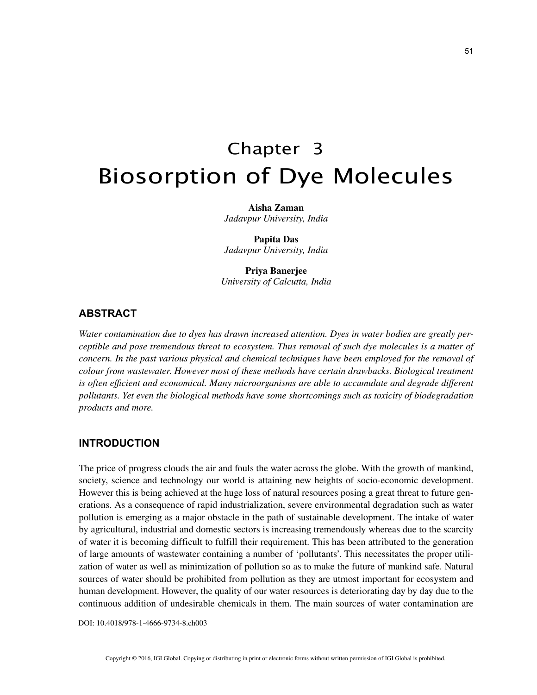# Chapter 3 Biosorption of Dye Molecules

**Aisha Zaman** *Jadavpur University, India*

**Papita Das** *Jadavpur University, India*

**Priya Banerjee** *University of Calcutta, India*

## **ABSTRACT**

*Water contamination due to dyes has drawn increased attention. Dyes in water bodies are greatly perceptible and pose tremendous threat to ecosystem. Thus removal of such dye molecules is a matter of concern. In the past various physical and chemical techniques have been employed for the removal of colour from wastewater. However most of these methods have certain drawbacks. Biological treatment is often efficient and economical. Many microorganisms are able to accumulate and degrade different pollutants. Yet even the biological methods have some shortcomings such as toxicity of biodegradation products and more.*

### **INTRODUCTION**

The price of progress clouds the air and fouls the water across the globe. With the growth of mankind, society, science and technology our world is attaining new heights of socio-economic development. However this is being achieved at the huge loss of natural resources posing a great threat to future generations. As a consequence of rapid industrialization, severe environmental degradation such as water pollution is emerging as a major obstacle in the path of sustainable development. The intake of water by agricultural, industrial and domestic sectors is increasing tremendously whereas due to the scarcity of water it is becoming difficult to fulfill their requirement. This has been attributed to the generation of large amounts of wastewater containing a number of 'pollutants'. This necessitates the proper utilization of water as well as minimization of pollution so as to make the future of mankind safe. Natural sources of water should be prohibited from pollution as they are utmost important for ecosystem and human development. However, the quality of our water resources is deteriorating day by day due to the continuous addition of undesirable chemicals in them. The main sources of water contamination are

DOI: 10.4018/978-1-4666-9734-8.ch003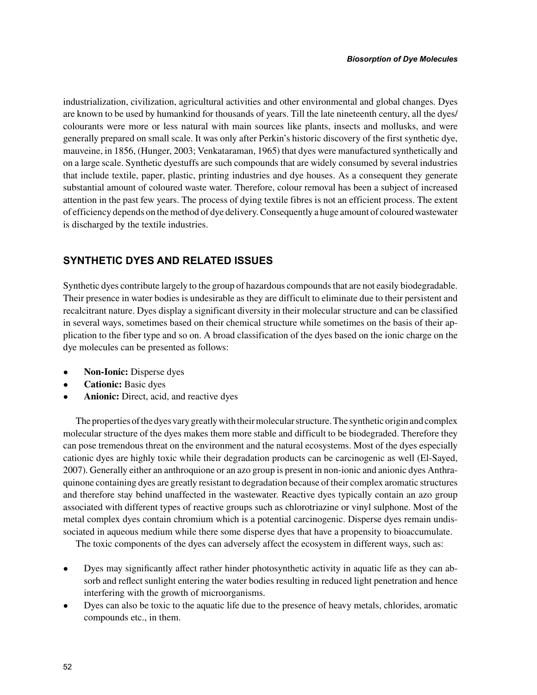industrialization, civilization, agricultural activities and other environmental and global changes. Dyes are known to be used by humankind for thousands of years. Till the late nineteenth century, all the dyes/ colourants were more or less natural with main sources like plants, insects and mollusks, and were generally prepared on small scale. It was only after Perkin's historic discovery of the first synthetic dye, mauveine, in 1856, (Hunger, 2003; Venkataraman, 1965) that dyes were manufactured synthetically and on a large scale. Synthetic dyestuffs are such compounds that are widely consumed by several industries that include textile, paper, plastic, printing industries and dye houses. As a consequent they generate substantial amount of coloured waste water. Therefore, colour removal has been a subject of increased attention in the past few years. The process of dying textile fibres is not an efficient process. The extent of efficiency depends on the method of dye delivery. Consequently a huge amount of coloured wastewater is discharged by the textile industries.

# **SYNTHETIC DYES AND RELATED ISSUES**

Synthetic dyes contribute largely to the group of hazardous compounds that are not easily biodegradable. Their presence in water bodies is undesirable as they are difficult to eliminate due to their persistent and recalcitrant nature. Dyes display a significant diversity in their molecular structure and can be classified in several ways, sometimes based on their chemical structure while sometimes on the basis of their application to the fiber type and so on. A broad classification of the dyes based on the ionic charge on the dye molecules can be presented as follows:

- **Non-Ionic:** Disperse dyes
- **Cationic:** Basic dyes
- **Anionic:** Direct, acid, and reactive dyes

The properties of the dyes vary greatly with their molecular structure. The synthetic origin and complex molecular structure of the dyes makes them more stable and difficult to be biodegraded. Therefore they can pose tremendous threat on the environment and the natural ecosystems. Most of the dyes especially cationic dyes are highly toxic while their degradation products can be carcinogenic as well (El-Sayed, 2007). Generally either an anthroquione or an azo group is present in non-ionic and anionic dyes Anthraquinone containing dyes are greatly resistant to degradation because of their complex aromatic structures and therefore stay behind unaffected in the wastewater. Reactive dyes typically contain an azo group associated with different types of reactive groups such as chlorotriazine or vinyl sulphone. Most of the metal complex dyes contain chromium which is a potential carcinogenic. Disperse dyes remain undissociated in aqueous medium while there some disperse dyes that have a propensity to bioaccumulate.

The toxic components of the dyes can adversely affect the ecosystem in different ways, such as:

- Dyes may significantly affect rather hinder photosynthetic activity in aquatic life as they can absorb and reflect sunlight entering the water bodies resulting in reduced light penetration and hence interfering with the growth of microorganisms.
- Dyes can also be toxic to the aquatic life due to the presence of heavy metals, chlorides, aromatic compounds etc., in them.